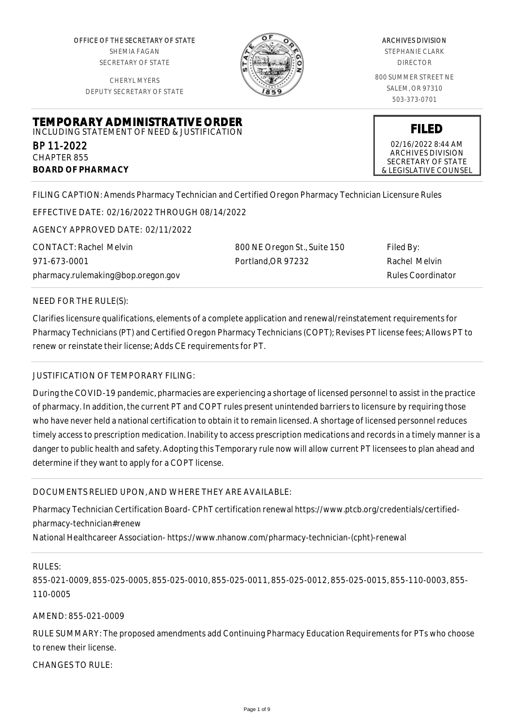OFFICE OF THE SECRETARY OF STATE SHEMIA FAGAN SECRETARY OF STATE

CHERYL MYERS DEPUTY SECRETARY OF STATE



#### ARCHIVES DIVISION STEPHANIE CLARK

DIRECTOR

800 SUMMER STREET NE SALEM, OR 97310 503-373-0701

**TEMPORARY ADMINISTRATIVE ORDER** INCLUDING STATEMENT OF NEED & JUSTIFICATION

BP 11-2022 CHAPTER 855 **BOARD OF PHARMACY**

02/16/2022 8:44 AM ARCHIVES DIVISION SECRETARY OF STATE & LEGISLATIVE COUNSEL

**FILED**

FILING CAPTION: Amends Pharmacy Technician and Certified Oregon Pharmacy Technician Licensure Rules

EFFECTIVE DATE: 02/16/2022 THROUGH 08/14/2022

AGENCY APPROVED DATE: 02/11/2022

CONTACT: Rachel Melvin 971-673-0001 pharmacy.rulemaking@bop.oregon.gov 800 NE Oregon St., Suite 150 Portland,OR 97232

Filed By: Rachel Melvin Rules Coordinator

## NEED FOR THE RULE(S):

Clarifies licensure qualifications, elements of a complete application and renewal/reinstatement requirements for Pharmacy Technicians (PT) and Certified Oregon Pharmacy Technicians (COPT); Revises PT license fees; Allows PT to renew or reinstate their license; Adds CE requirements for PT.

# JUSTIFICATION OF TEMPORARY FILING:

During the COVID-19 pandemic, pharmacies are experiencing a shortage of licensed personnel to assist in the practice of pharmacy. In addition, the current PT and COPT rules present unintended barriers to licensure by requiring those who have never held a national certification to obtain it to remain licensed. A shortage of licensed personnel reduces timely access to prescription medication. Inability to access prescription medications and records in a timely manner is a danger to public health and safety. Adopting this Temporary rule now will allow current PT licensees to plan ahead and determine if they want to apply for a COPT license.

# DOCUMENTS RELIED UPON, AND WHERE THEY ARE AVAILABLE:

Pharmacy Technician Certification Board- CPhT certification renewal https://www.ptcb.org/credentials/certifiedpharmacy-technician#renew

National Healthcareer Association- https://www.nhanow.com/pharmacy-technician-(cpht)-renewal

## RULES:

855-021-0009, 855-025-0005, 855-025-0010, 855-025-0011, 855-025-0012, 855-025-0015, 855-110-0003, 855- 110-0005

AMEND: 855-021-0009

RULE SUMMARY: The proposed amendments add Continuing Pharmacy Education Requirements for PTs who choose to renew their license.

CHANGES TO RULE: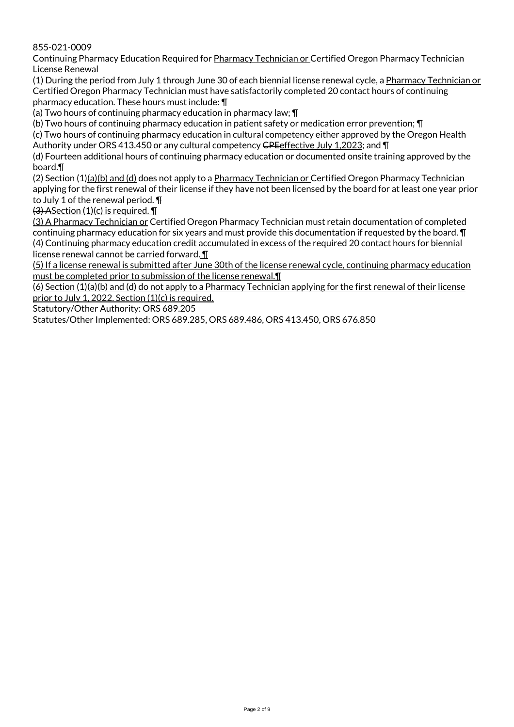855-021-0009

Continuing Pharmacy Education Required for Pharmacy Technician or Certified Oregon Pharmacy Technician License Renewal

(1) During the period from July 1 through June 30 of each biennial license renewal cycle, a Pharmacy Technician or Certified Oregon Pharmacy Technician must have satisfactorily completed 20 contact hours of continuing pharmacy education. These hours must include: ¶

(a) Two hours of continuing pharmacy education in pharmacy law; ¶

(b) Two hours of continuing pharmacy education in patient safety or medication error prevention; ¶

(c) Two hours of continuing pharmacy education in cultural competency either approved by the Oregon Health Authority under ORS 413.450 or any cultural competency CPE effective July 1,2023; and \[

(d) Fourteen additional hours of continuing pharmacy education or documented onsite training approved by the board.¶

(2) Section (1)(a)(b) and (d) does not apply to a Pharmacy Technician or Certified Oregon Pharmacy Technician applying for the first renewal of their license if they have not been licensed by the board for at least one year prior to July 1 of the renewal period. ¶

 $(3)$  ASection (1)(c) is required.

(3) A Pharmacy Technician or Certified Oregon Pharmacy Technician must retain documentation of completed continuing pharmacy education for six years and must provide this documentation if requested by the board. ¶ (4) Continuing pharmacy education credit accumulated in excess of the required 20 contact hours for biennial license renewal cannot be carried forward. ¶

(5) If a license renewal is submitted after June 30th of the license renewal cycle, continuing pharmacy education must be completed prior to submission of the license renewal.¶

(6) Section (1)(a)(b) and (d) do not apply to a Pharmacy Technician applying for the first renewal of their license prior to July 1, 2022. Section (1)(c) is required.

Statutory/Other Authority: ORS 689.205

Statutes/Other Implemented: ORS 689.285, ORS 689.486, ORS 413.450, ORS 676.850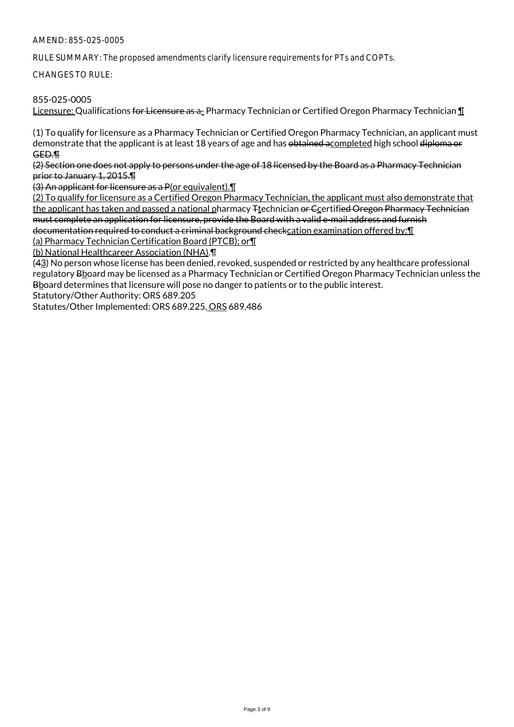RULE SUMMARY: The proposed amendments clarify licensure requirements for PTs and COPTs.

CHANGES TO RULE:

# 855-025-0005

Licensure: Qualifications for Licensure as a- Pharmacy Technician or Certified Oregon Pharmacy Technician ¶

(1) To qualify for licensure as a Pharmacy Technician or Certified Oregon Pharmacy Technician, an applicant must demonstrate that the applicant is at least 18 years of age and has obtained acompleted high school diploma or GED.¶

(2) Section one does not apply to persons under the age of 18 licensed by the Board as a Pharmacy Technician prior to January 1, 2015.¶

(3) An applicant for licensure as a P(or equivalent).¶

(2) To qualify for licensure as a Certified Oregon Pharmacy Technician, the applicant must also demonstrate that the applicant has taken and passed a national pharmacy <sub>Ttechnician</sub> or Ccertified Oregon Pharmacy Technician must complete an application for licensure, provide the Board with a valid e-mail address and furnish documentation required to conduct a criminal background checkcation examination offered by:¶

(a) Pharmacy Technician Certification Board (PTCB); or¶

(b) National Healthcareer Association (NHA).¶

(43) No person whose license has been denied, revoked, suspended or restricted by any healthcare professional regulatory Bhoard may be licensed as a Pharmacy Technician or Certified Oregon Pharmacy Technician unless the Bboard determines that licensure will pose no danger to patients or to the public interest.

Statutory/Other Authority: ORS 689.205

Statutes/Other Implemented: ORS 689.225, ORS 689.486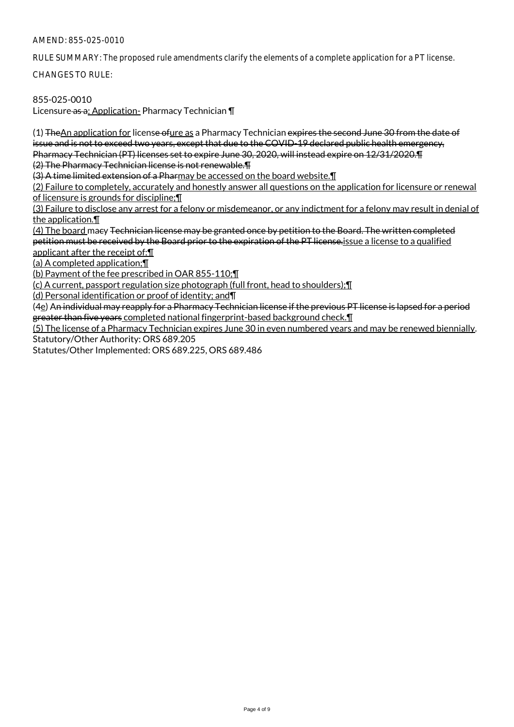RULE SUMMARY: The proposed rule amendments clarify the elements of a complete application for a PT license.

CHANGES TO RULE:

# 855-025-0010

Licensure as a: Application- Pharmacy Technician ¶

(1) TheAn application for license ofure as a Pharmacy Technician expires the second June 30 from the date of issue and is not to exceed two years, except that due to the COVID-19 declared public health emergency, Pharmacy Technician (PT) licenses set to expire June 30, 2020, will instead expire on 12/31/2020.¶ (2) The Pharmacy Technician license is not renewable.¶

(3) A time limited extension of a Pharmay be accessed on the board website.¶

(2) Failure to completely, accurately and honestly answer all questions on the application for licensure or renewal of licensure is grounds for discipline;¶

(3) Failure to disclose any arrest for a felony or misdemeanor, or any indictment for a felony may result in denial of the application.¶

(4) The board macy Technician license may be granted once by petition to the Board. The written completed petition must be received by the Board prior to the expiration of the PT license.issue a license to a qualified applicant after the receipt of:¶

(a) A completed application;¶

(b) Payment of the fee prescribed in OAR 855-110;¶

(c) A current, passport regulation size photograph (full front, head to shoulders);¶

(d) Personal identification or proof of identity; and¶

(4e) An individual may reapply for a Pharmacy Technician license if the previous PT license is lapsed for a period greater than five years completed national fingerprint-based background check.¶

(5) The license of a Pharmacy Technician expires June 30 in even numbered years and may be renewed biennially. Statutory/Other Authority: ORS 689.205

Statutes/Other Implemented: ORS 689.225, ORS 689.486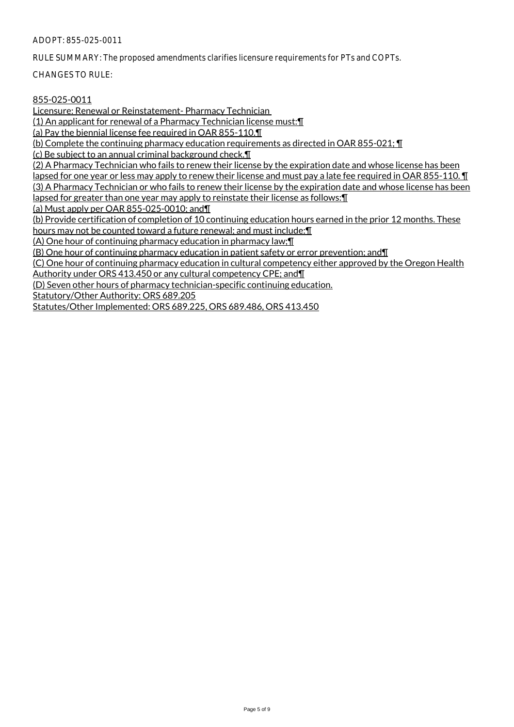#### ADOPT: 855-025-0011

RULE SUMMARY: The proposed amendments clarifies licensure requirements for PTs and COPTs.

CHANGES TO RULE:

# 855-025-0011

Licensure: Renewal or Reinstatement- Pharmacy Technician

(1) An applicant for renewal of a Pharmacy Technician license must:¶

(a) Pay the biennial license fee required in OAR 855-110.¶

(b) Complete the continuing pharmacy education requirements as directed in OAR 855-021; ¶

(c) Be subject to an annual criminal background check.¶

(2) A Pharmacy Technician who fails to renew their license by the expiration date and whose license has been lapsed for one year or less may apply to renew their license and must pay a late fee required in OAR 855-110. T (3) A Pharmacy Technician or who fails to renew their license by the expiration date and whose license has been lapsed for greater than one year may apply to reinstate their license as follows:¶

(a) Must apply per OAR 855-025-0010; and¶

(b) Provide certification of completion of 10 continuing education hours earned in the prior 12 months. These hours may not be counted toward a future renewal; and must include:¶

(A) One hour of continuing pharmacy education in pharmacy law;¶

(B) One hour of continuing pharmacy education in patient safety or error prevention; and¶

(C) One hour of continuing pharmacy education in cultural competency either approved by the Oregon Health

Authority under ORS 413.450 or any cultural competency CPE; and¶

(D) Seven other hours of pharmacy technician-specific continuing education.

Statutory/Other Authority: ORS 689.205

Statutes/Other Implemented: ORS 689.225, ORS 689.486, ORS 413.450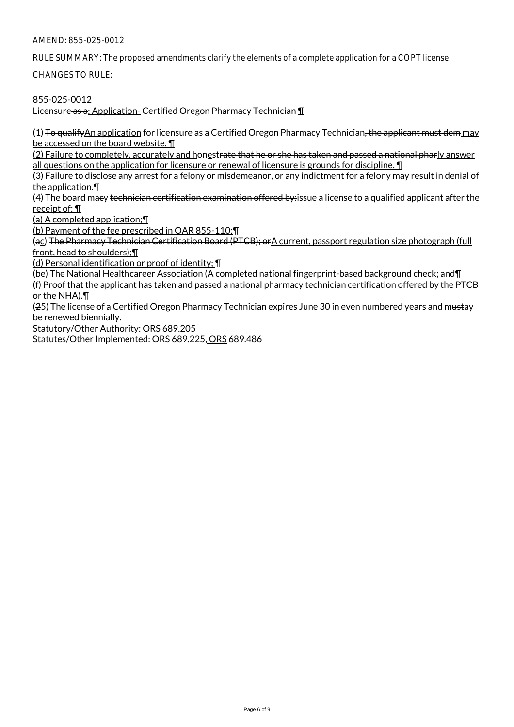RULE SUMMARY: The proposed amendments clarify the elements of a complete application for a COPT license.

CHANGES TO RULE:

855-025-0012

Licensure as a: Application- Certified Oregon Pharmacy Technician ¶

 $(1)$  To qualify An application for licensure as a Certified Oregon Pharmacy Technician, the applicant must dem may be accessed on the board website. ¶

(2) Failure to completely, accurately and honestrate that he or she has taken and passed a national pharly answer all questions on the application for licensure or renewal of licensure is grounds for discipline. **I** 

(3) Failure to disclose any arrest for a felony or misdemeanor, or any indictment for a felony may result in denial of the application.¶

(4) The board macy technician certification examination offered by:issue a license to a qualified applicant after the receipt of: ¶

(a) A completed application;¶

(b) Payment of the fee prescribed in OAR 855-110;¶

(ac) The Pharmacy Technician Certification Board (PTCB); orA current, passport regulation size photograph (full front, head to shoulders);¶

(d) Personal identification or proof of identity; ¶

(be) The National Healthcareer Association (A completed national fingerprint-based background check; and¶

(f) Proof that the applicant has taken and passed a national pharmacy technician certification offered by the PTCB or the NHA).¶

(25) The license of a Certified Oregon Pharmacy Technician expires June 30 in even numbered years and mustay be renewed biennially.

Statutory/Other Authority: ORS 689.205

Statutes/Other Implemented: ORS 689.225, ORS 689.486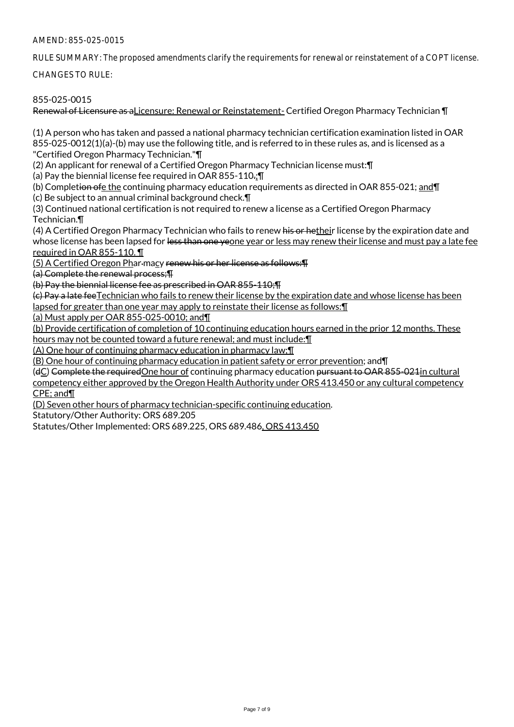RULE SUMMARY: The proposed amendments clarify the requirements for renewal or reinstatement of a COPT license.

CHANGES TO RULE:

# 855-025-0015

Renewal of Licensure as aLicensure: Renewal or Reinstatement- Certified Oregon Pharmacy Technician ¶

(1) A person who has taken and passed a national pharmacy technician certification examination listed in OAR 855-025-0012(1)(a)-(b) may use the following title, and is referred to in these rules as, and is licensed as a "Certified Oregon Pharmacy Technician."¶

(2) An applicant for renewal of a Certified Oregon Pharmacy Technician license must:¶

(a) Pay the biennial license fee required in OAR 855-110.;¶

(b) Completion ofe the continuing pharmacy education requirements as directed in OAR 855-021; and¶

(c) Be subject to an annual criminal background check.¶

(3) Continued national certification is not required to renew a license as a Certified Oregon Pharmacy Technician.¶

(4) A Certified Oregon Pharmacy Technician who fails to renew his or hetheir license by the expiration date and whose license has been lapsed for <del>less than one ye</del>one year or less may renew their license and must pay a late fee required in OAR 855-110. ¶

(5) A Certified Oregon Phar macy renew his or her license as follows:¶

(a) Complete the renewal process;¶

(b) Pay the biennial license fee as prescribed in OAR 855-110;¶

(c) Pay a late feeTechnician who fails to renew their license by the expiration date and whose license has been lapsed for greater than one year may apply to reinstate their license as follows:¶

(a) Must apply per OAR 855-025-0010; and¶

(b) Provide certification of completion of 10 continuing education hours earned in the prior 12 months. These hours may not be counted toward a future renewal; and must include:¶

(A) One hour of continuing pharmacy education in pharmacy law;¶

(B) One hour of continuing pharmacy education in patient safety or error prevention; and¶

(dC) Complete the requiredOne hour of continuing pharmacy education pursuant to OAR 855-021in cultural competency either approved by the Oregon Health Authority under ORS 413.450 or any cultural competency CPE; and¶

(D) Seven other hours of pharmacy technician-specific continuing education.

Statutory/Other Authority: ORS 689.205

Statutes/Other Implemented: ORS 689.225, ORS 689.486, ORS 413.450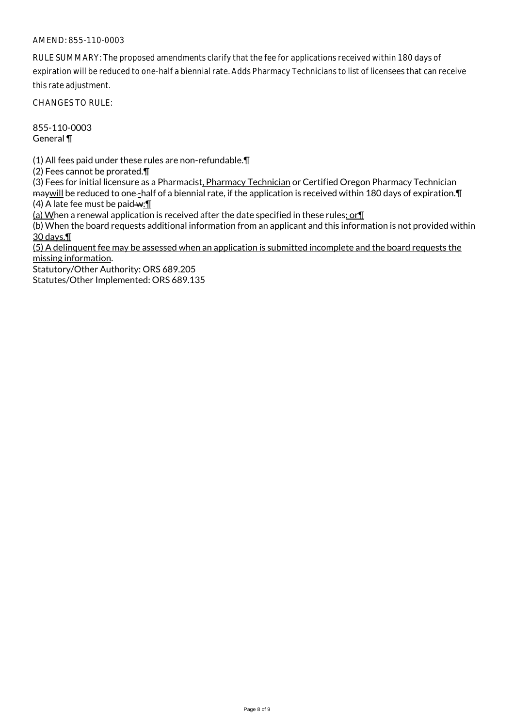## AMEND: 855-110-0003

RULE SUMMARY: The proposed amendments clarify that the fee for applications received within 180 days of expiration will be reduced to one-half a biennial rate. Adds Pharmacy Technicians to list of licensees that can receive this rate adjustment.

CHANGES TO RULE:

855-110-0003 General ¶

(1) All fees paid under these rules are non-refundable.¶

(2) Fees cannot be prorated.¶

(3) Fees for initial licensure as a Pharmacist, Pharmacy Technician or Certified Oregon Pharmacy Technician ma will be reduced to one-half of a biennial rate, if the application is received within 180 days of expiration. [1]

(4) A late fee must be paid  $\cdot$   $\cdot$   $\cdot$   $\cdot$   $\cdot$   $\cdot$ 

(a) When a renewal application is received after the date specified in these rules; or¶

(b) When the board requests additional information from an applicant and this information is not provided within 30 days.¶

(5) A delinquent fee may be assessed when an application is submitted incomplete and the board requests the missing information.

Statutory/Other Authority: ORS 689.205

Statutes/Other Implemented: ORS 689.135